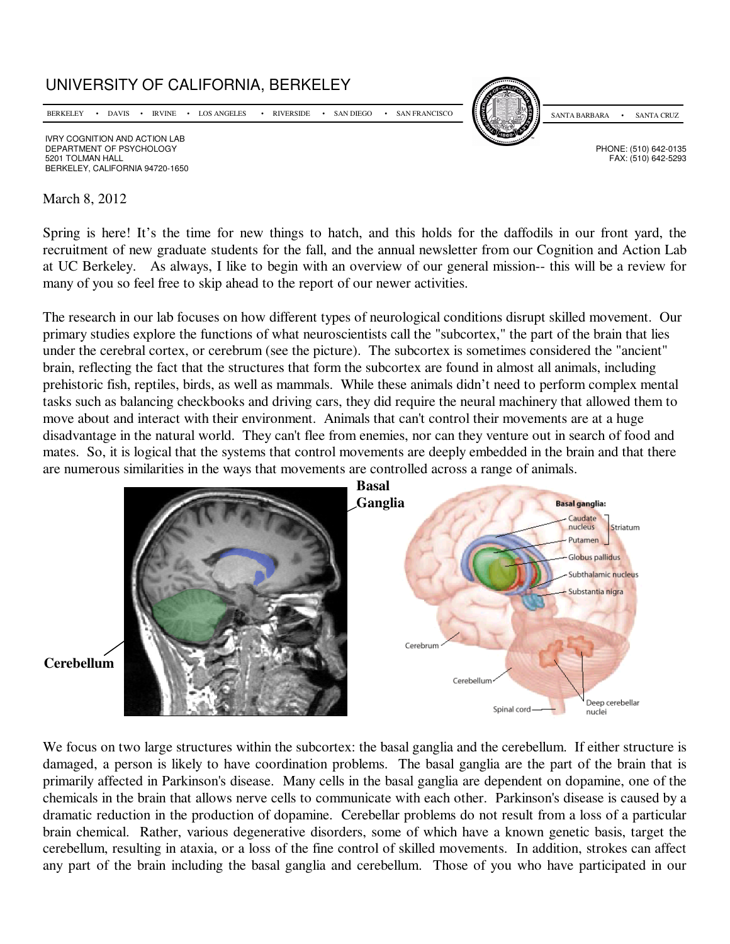

March 8, 2012

Spring is here! It's the time for new things to hatch, and this holds for the daffodils in our front yard, the recruitment of new graduate students for the fall, and the annual newsletter from our Cognition and Action Lab at UC Berkeley. As always, I like to begin with an overview of our general mission-- this will be a review for many of you so feel free to skip ahead to the report of our newer activities.

The research in our lab focuses on how different types of neurological conditions disrupt skilled movement. Our primary studies explore the functions of what neuroscientists call the "subcortex," the part of the brain that lies under the cerebral cortex, or cerebrum (see the picture). The subcortex is sometimes considered the "ancient" brain, reflecting the fact that the structures that form the subcortex are found in almost all animals, including prehistoric fish, reptiles, birds, as well as mammals. While these animals didn't need to perform complex mental tasks such as balancing checkbooks and driving cars, they did require the neural machinery that allowed them to move about and interact with their environment. Animals that can't control their movements are at a huge disadvantage in the natural world. They can't flee from enemies, nor can they venture out in search of food and mates. So, it is logical that the systems that control movements are deeply embedded in the brain and that there are numerous similarities in the ways that movements are controlled across a range of animals.



**Cerebellum** 

We focus on two large structures within the subcortex: the basal ganglia and the cerebellum. If either structure is damaged, a person is likely to have coordination problems. The basal ganglia are the part of the brain that is primarily affected in Parkinson's disease. Many cells in the basal ganglia are dependent on dopamine, one of the chemicals in the brain that allows nerve cells to communicate with each other. Parkinson's disease is caused by a dramatic reduction in the production of dopamine. Cerebellar problems do not result from a loss of a particular brain chemical. Rather, various degenerative disorders, some of which have a known genetic basis, target the cerebellum, resulting in ataxia, or a loss of the fine control of skilled movements. In addition, strokes can affect any part of the brain including the basal ganglia and cerebellum. Those of you who have participated in our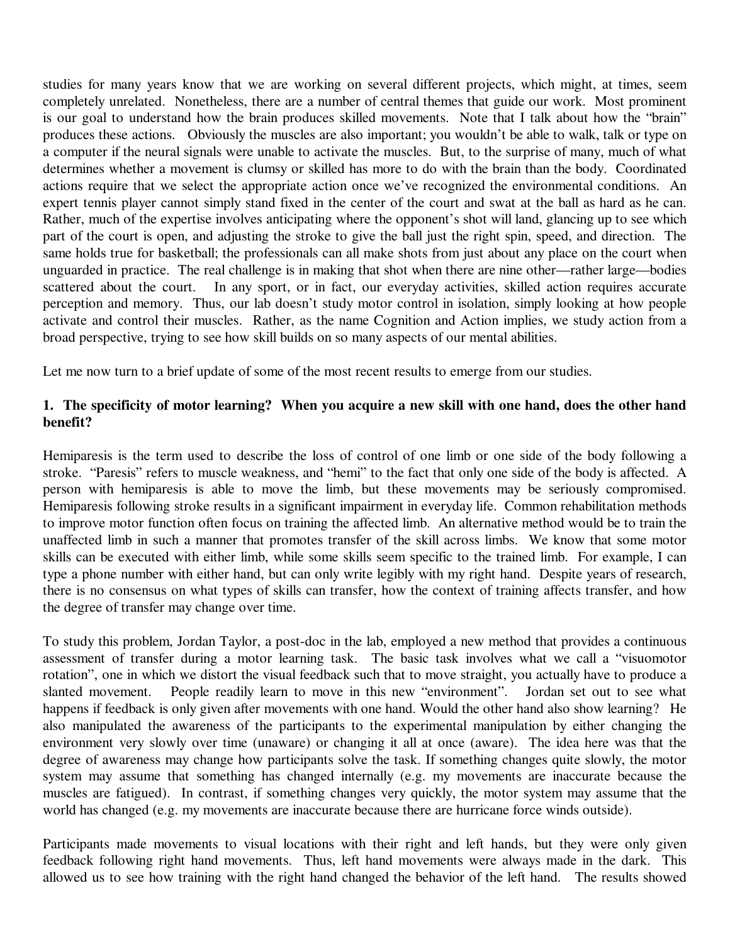studies for many years know that we are working on several different projects, which might, at times, seem completely unrelated. Nonetheless, there are a number of central themes that guide our work. Most prominent is our goal to understand how the brain produces skilled movements. Note that I talk about how the "brain" produces these actions. Obviously the muscles are also important; you wouldn't be able to walk, talk or type on a computer if the neural signals were unable to activate the muscles. But, to the surprise of many, much of what determines whether a movement is clumsy or skilled has more to do with the brain than the body. Coordinated actions require that we select the appropriate action once we've recognized the environmental conditions. An expert tennis player cannot simply stand fixed in the center of the court and swat at the ball as hard as he can. Rather, much of the expertise involves anticipating where the opponent's shot will land, glancing up to see which part of the court is open, and adjusting the stroke to give the ball just the right spin, speed, and direction. The same holds true for basketball; the professionals can all make shots from just about any place on the court when unguarded in practice. The real challenge is in making that shot when there are nine other—rather large—bodies scattered about the court. In any sport, or in fact, our everyday activities, skilled action requires accurate perception and memory. Thus, our lab doesn't study motor control in isolation, simply looking at how people activate and control their muscles. Rather, as the name Cognition and Action implies, we study action from a broad perspective, trying to see how skill builds on so many aspects of our mental abilities.

Let me now turn to a brief update of some of the most recent results to emerge from our studies.

## **1. The specificity of motor learning? When you acquire a new skill with one hand, does the other hand benefit?**

Hemiparesis is the term used to describe the loss of control of one limb or one side of the body following a stroke. "Paresis" refers to muscle weakness, and "hemi" to the fact that only one side of the body is affected. A person with hemiparesis is able to move the limb, but these movements may be seriously compromised. Hemiparesis following stroke results in a significant impairment in everyday life. Common rehabilitation methods to improve motor function often focus on training the affected limb. An alternative method would be to train the unaffected limb in such a manner that promotes transfer of the skill across limbs. We know that some motor skills can be executed with either limb, while some skills seem specific to the trained limb. For example, I can type a phone number with either hand, but can only write legibly with my right hand. Despite years of research, there is no consensus on what types of skills can transfer, how the context of training affects transfer, and how the degree of transfer may change over time.

To study this problem, Jordan Taylor, a post-doc in the lab, employed a new method that provides a continuous assessment of transfer during a motor learning task. The basic task involves what we call a "visuomotor rotation", one in which we distort the visual feedback such that to move straight, you actually have to produce a slanted movement. People readily learn to move in this new "environment". Jordan set out to see what happens if feedback is only given after movements with one hand. Would the other hand also show learning? He also manipulated the awareness of the participants to the experimental manipulation by either changing the environment very slowly over time (unaware) or changing it all at once (aware). The idea here was that the degree of awareness may change how participants solve the task. If something changes quite slowly, the motor system may assume that something has changed internally (e.g. my movements are inaccurate because the muscles are fatigued). In contrast, if something changes very quickly, the motor system may assume that the world has changed (e.g. my movements are inaccurate because there are hurricane force winds outside).

Participants made movements to visual locations with their right and left hands, but they were only given feedback following right hand movements. Thus, left hand movements were always made in the dark. This allowed us to see how training with the right hand changed the behavior of the left hand. The results showed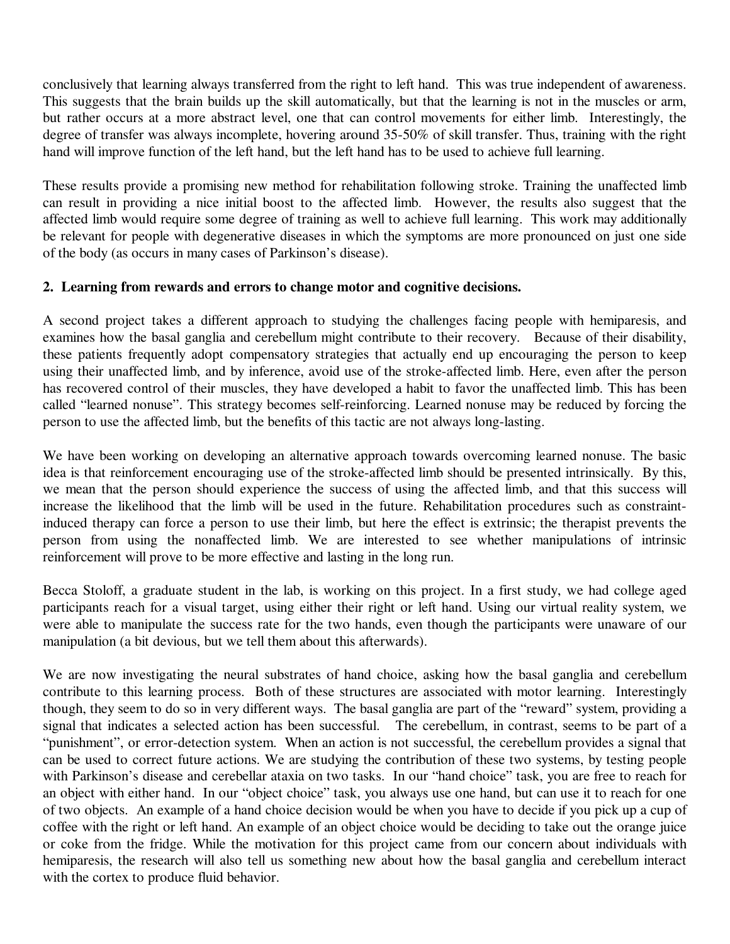conclusively that learning always transferred from the right to left hand. This was true independent of awareness. This suggests that the brain builds up the skill automatically, but that the learning is not in the muscles or arm, but rather occurs at a more abstract level, one that can control movements for either limb. Interestingly, the degree of transfer was always incomplete, hovering around 35-50% of skill transfer. Thus, training with the right hand will improve function of the left hand, but the left hand has to be used to achieve full learning.

These results provide a promising new method for rehabilitation following stroke. Training the unaffected limb can result in providing a nice initial boost to the affected limb. However, the results also suggest that the affected limb would require some degree of training as well to achieve full learning. This work may additionally be relevant for people with degenerative diseases in which the symptoms are more pronounced on just one side of the body (as occurs in many cases of Parkinson's disease).

## **2. Learning from rewards and errors to change motor and cognitive decisions.**

A second project takes a different approach to studying the challenges facing people with hemiparesis, and examines how the basal ganglia and cerebellum might contribute to their recovery. Because of their disability, these patients frequently adopt compensatory strategies that actually end up encouraging the person to keep using their unaffected limb, and by inference, avoid use of the stroke-affected limb. Here, even after the person has recovered control of their muscles, they have developed a habit to favor the unaffected limb. This has been called "learned nonuse". This strategy becomes self-reinforcing. Learned nonuse may be reduced by forcing the person to use the affected limb, but the benefits of this tactic are not always long-lasting.

We have been working on developing an alternative approach towards overcoming learned nonuse. The basic idea is that reinforcement encouraging use of the stroke-affected limb should be presented intrinsically. By this, we mean that the person should experience the success of using the affected limb, and that this success will increase the likelihood that the limb will be used in the future. Rehabilitation procedures such as constraintinduced therapy can force a person to use their limb, but here the effect is extrinsic; the therapist prevents the person from using the nonaffected limb. We are interested to see whether manipulations of intrinsic reinforcement will prove to be more effective and lasting in the long run.

Becca Stoloff, a graduate student in the lab, is working on this project. In a first study, we had college aged participants reach for a visual target, using either their right or left hand. Using our virtual reality system, we were able to manipulate the success rate for the two hands, even though the participants were unaware of our manipulation (a bit devious, but we tell them about this afterwards).

We are now investigating the neural substrates of hand choice, asking how the basal ganglia and cerebellum contribute to this learning process. Both of these structures are associated with motor learning. Interestingly though, they seem to do so in very different ways. The basal ganglia are part of the "reward" system, providing a signal that indicates a selected action has been successful. The cerebellum, in contrast, seems to be part of a "punishment", or error-detection system. When an action is not successful, the cerebellum provides a signal that can be used to correct future actions. We are studying the contribution of these two systems, by testing people with Parkinson's disease and cerebellar ataxia on two tasks. In our "hand choice" task, you are free to reach for an object with either hand. In our "object choice" task, you always use one hand, but can use it to reach for one of two objects. An example of a hand choice decision would be when you have to decide if you pick up a cup of coffee with the right or left hand. An example of an object choice would be deciding to take out the orange juice or coke from the fridge. While the motivation for this project came from our concern about individuals with hemiparesis, the research will also tell us something new about how the basal ganglia and cerebellum interact with the cortex to produce fluid behavior.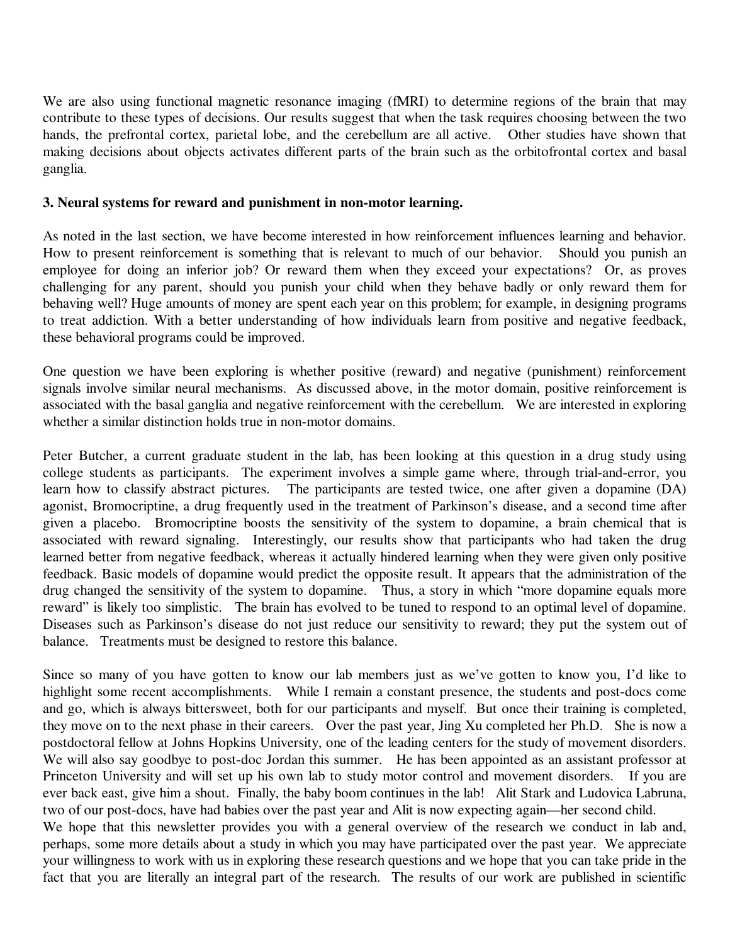We are also using functional magnetic resonance imaging (fMRI) to determine regions of the brain that may contribute to these types of decisions. Our results suggest that when the task requires choosing between the two hands, the prefrontal cortex, parietal lobe, and the cerebellum are all active. Other studies have shown that making decisions about objects activates different parts of the brain such as the orbitofrontal cortex and basal ganglia.

## **3. Neural systems for reward and punishment in non-motor learning.**

As noted in the last section, we have become interested in how reinforcement influences learning and behavior. How to present reinforcement is something that is relevant to much of our behavior. Should you punish an employee for doing an inferior job? Or reward them when they exceed your expectations? Or, as proves challenging for any parent, should you punish your child when they behave badly or only reward them for behaving well? Huge amounts of money are spent each year on this problem; for example, in designing programs to treat addiction. With a better understanding of how individuals learn from positive and negative feedback, these behavioral programs could be improved.

One question we have been exploring is whether positive (reward) and negative (punishment) reinforcement signals involve similar neural mechanisms. As discussed above, in the motor domain, positive reinforcement is associated with the basal ganglia and negative reinforcement with the cerebellum. We are interested in exploring whether a similar distinction holds true in non-motor domains.

Peter Butcher, a current graduate student in the lab, has been looking at this question in a drug study using college students as participants. The experiment involves a simple game where, through trial-and-error, you learn how to classify abstract pictures. The participants are tested twice, one after given a dopamine (DA) agonist, Bromocriptine, a drug frequently used in the treatment of Parkinson's disease, and a second time after given a placebo. Bromocriptine boosts the sensitivity of the system to dopamine, a brain chemical that is associated with reward signaling. Interestingly, our results show that participants who had taken the drug learned better from negative feedback, whereas it actually hindered learning when they were given only positive feedback. Basic models of dopamine would predict the opposite result. It appears that the administration of the drug changed the sensitivity of the system to dopamine. Thus, a story in which "more dopamine equals more reward" is likely too simplistic. The brain has evolved to be tuned to respond to an optimal level of dopamine. Diseases such as Parkinson's disease do not just reduce our sensitivity to reward; they put the system out of balance. Treatments must be designed to restore this balance.

Since so many of you have gotten to know our lab members just as we've gotten to know you, I'd like to highlight some recent accomplishments. While I remain a constant presence, the students and post-docs come and go, which is always bittersweet, both for our participants and myself. But once their training is completed, they move on to the next phase in their careers. Over the past year, Jing Xu completed her Ph.D. She is now a postdoctoral fellow at Johns Hopkins University, one of the leading centers for the study of movement disorders. We will also say goodbye to post-doc Jordan this summer. He has been appointed as an assistant professor at Princeton University and will set up his own lab to study motor control and movement disorders. If you are ever back east, give him a shout. Finally, the baby boom continues in the lab! Alit Stark and Ludovica Labruna, two of our post-docs, have had babies over the past year and Alit is now expecting again—her second child.

We hope that this newsletter provides you with a general overview of the research we conduct in lab and, perhaps, some more details about a study in which you may have participated over the past year. We appreciate your willingness to work with us in exploring these research questions and we hope that you can take pride in the fact that you are literally an integral part of the research. The results of our work are published in scientific